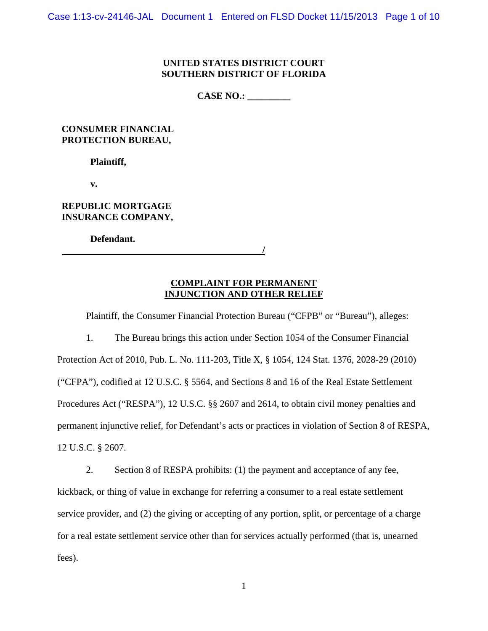## **UNITED STATES DISTRICT COURT SOUTHERN DISTRICT OF FLORIDA**

**CASE NO.: \_\_\_\_\_\_\_\_\_** 

**CONSUMER FINANCIAL PROTECTION BUREAU,** 

 **Plaintiff,** 

 **v.** 

**REPUBLIC MORTGAGE INSURANCE COMPANY,** 

 **Defendant.** 

 **/** 

**COMPLAINT FOR PERMANENT INJUNCTION AND OTHER RELIEF** 

Plaintiff, the Consumer Financial Protection Bureau ("CFPB" or "Bureau"), alleges:

1. The Bureau brings this action under Section 1054 of the Consumer Financial Protection Act of 2010, Pub. L. No. 111-203, Title X, § 1054, 124 Stat. 1376, 2028-29 (2010) ("CFPA"), codified at 12 U.S.C. § 5564, and Sections 8 and 16 of the Real Estate Settlement Procedures Act ("RESPA"), 12 U.S.C. §§ 2607 and 2614, to obtain civil money penalties and permanent injunctive relief, for Defendant's acts or practices in violation of Section 8 of RESPA, 12 U.S.C. § 2607.

2. Section 8 of RESPA prohibits: (1) the payment and acceptance of any fee, kickback, or thing of value in exchange for referring a consumer to a real estate settlement service provider, and (2) the giving or accepting of any portion, split, or percentage of a charge for a real estate settlement service other than for services actually performed (that is, unearned fees).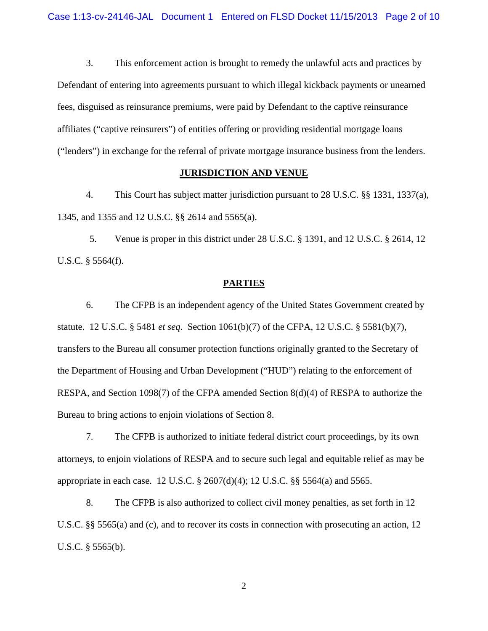3. This enforcement action is brought to remedy the unlawful acts and practices by Defendant of entering into agreements pursuant to which illegal kickback payments or unearned fees, disguised as reinsurance premiums, were paid by Defendant to the captive reinsurance affiliates ("captive reinsurers") of entities offering or providing residential mortgage loans ("lenders") in exchange for the referral of private mortgage insurance business from the lenders.

## **JURISDICTION AND VENUE**

4. This Court has subject matter jurisdiction pursuant to 28 U.S.C. §§ 1331, 1337(a), 1345, and 1355 and 12 U.S.C. §§ 2614 and 5565(a).

5. Venue is proper in this district under 28 U.S.C. § 1391, and 12 U.S.C. § 2614, 12 U.S.C. § 5564(f).

#### **PARTIES**

6. The CFPB is an independent agency of the United States Government created by statute. 12 U.S.C. § 5481 *et seq*. Section 1061(b)(7) of the CFPA, 12 U.S.C. § 5581(b)(7), transfers to the Bureau all consumer protection functions originally granted to the Secretary of the Department of Housing and Urban Development ("HUD") relating to the enforcement of RESPA, and Section 1098(7) of the CFPA amended Section 8(d)(4) of RESPA to authorize the Bureau to bring actions to enjoin violations of Section 8.

7. The CFPB is authorized to initiate federal district court proceedings, by its own attorneys, to enjoin violations of RESPA and to secure such legal and equitable relief as may be appropriate in each case. 12 U.S.C. § 2607(d)(4); 12 U.S.C. §§ 5564(a) and 5565.

8. The CFPB is also authorized to collect civil money penalties, as set forth in 12 U.S.C. §§ 5565(a) and (c), and to recover its costs in connection with prosecuting an action, 12 U.S.C. § 5565(b).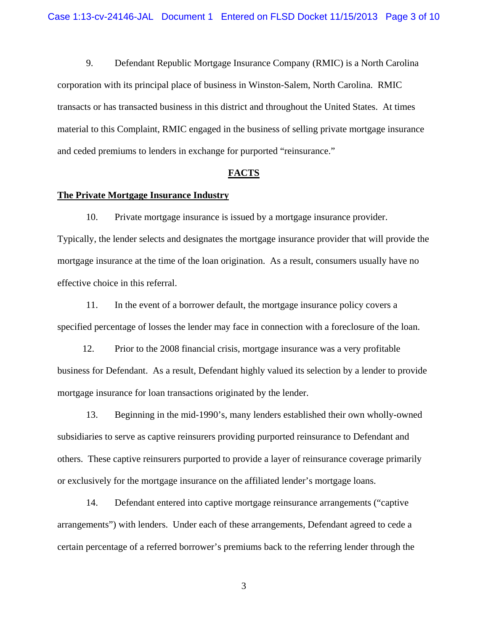9. Defendant Republic Mortgage Insurance Company (RMIC) is a North Carolina corporation with its principal place of business in Winston-Salem, North Carolina. RMIC transacts or has transacted business in this district and throughout the United States. At times material to this Complaint, RMIC engaged in the business of selling private mortgage insurance and ceded premiums to lenders in exchange for purported "reinsurance."

#### **FACTS**

#### **The Private Mortgage Insurance Industry**

10. Private mortgage insurance is issued by a mortgage insurance provider. Typically, the lender selects and designates the mortgage insurance provider that will provide the mortgage insurance at the time of the loan origination. As a result, consumers usually have no effective choice in this referral.

11. In the event of a borrower default, the mortgage insurance policy covers a specified percentage of losses the lender may face in connection with a foreclosure of the loan.

12. Prior to the 2008 financial crisis, mortgage insurance was a very profitable business for Defendant. As a result, Defendant highly valued its selection by a lender to provide mortgage insurance for loan transactions originated by the lender.

13. Beginning in the mid-1990's, many lenders established their own wholly-owned subsidiaries to serve as captive reinsurers providing purported reinsurance to Defendant and others. These captive reinsurers purported to provide a layer of reinsurance coverage primarily or exclusively for the mortgage insurance on the affiliated lender's mortgage loans.

14. Defendant entered into captive mortgage reinsurance arrangements ("captive arrangements") with lenders. Under each of these arrangements, Defendant agreed to cede a certain percentage of a referred borrower's premiums back to the referring lender through the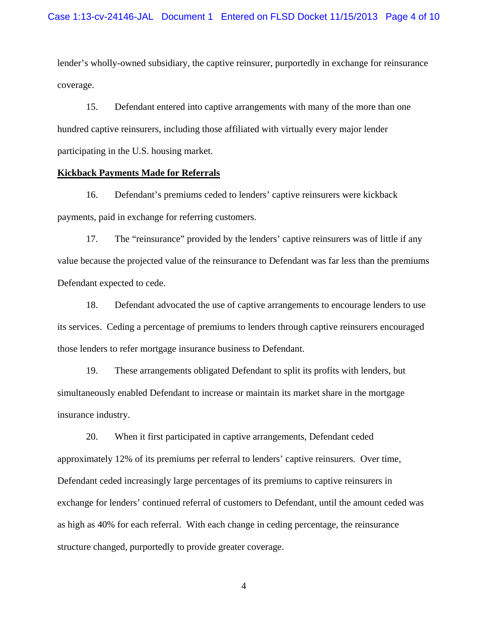lender's wholly-owned subsidiary, the captive reinsurer, purportedly in exchange for reinsurance coverage.

15. Defendant entered into captive arrangements with many of the more than one hundred captive reinsurers, including those affiliated with virtually every major lender participating in the U.S. housing market.

#### **Kickback Payments Made for Referrals**

16. Defendant's premiums ceded to lenders' captive reinsurers were kickback payments, paid in exchange for referring customers.

17. The "reinsurance" provided by the lenders' captive reinsurers was of little if any value because the projected value of the reinsurance to Defendant was far less than the premiums Defendant expected to cede.

18. Defendant advocated the use of captive arrangements to encourage lenders to use its services. Ceding a percentage of premiums to lenders through captive reinsurers encouraged those lenders to refer mortgage insurance business to Defendant.

19. These arrangements obligated Defendant to split its profits with lenders, but simultaneously enabled Defendant to increase or maintain its market share in the mortgage insurance industry.

20. When it first participated in captive arrangements, Defendant ceded approximately 12% of its premiums per referral to lenders' captive reinsurers. Over time, Defendant ceded increasingly large percentages of its premiums to captive reinsurers in exchange for lenders' continued referral of customers to Defendant, until the amount ceded was as high as 40% for each referral. With each change in ceding percentage, the reinsurance structure changed, purportedly to provide greater coverage.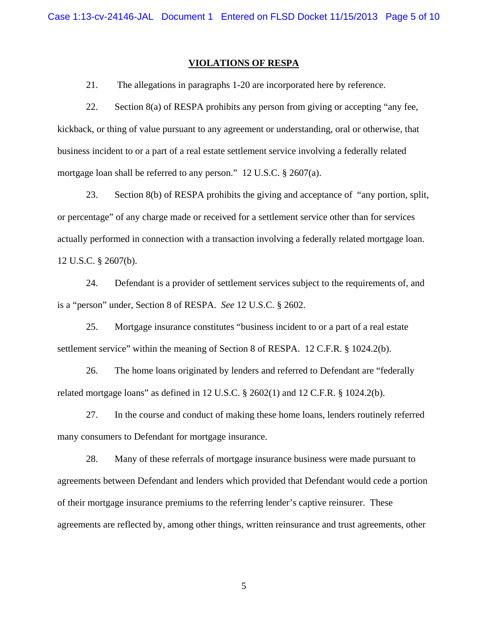#### **VIOLATIONS OF RESPA**

21. The allegations in paragraphs 1-20 are incorporated here by reference.

22. Section 8(a) of RESPA prohibits any person from giving or accepting "any fee, kickback, or thing of value pursuant to any agreement or understanding, oral or otherwise, that business incident to or a part of a real estate settlement service involving a federally related mortgage loan shall be referred to any person." 12 U.S.C. § 2607(a).

23. Section 8(b) of RESPA prohibits the giving and acceptance of "any portion, split, or percentage" of any charge made or received for a settlement service other than for services actually performed in connection with a transaction involving a federally related mortgage loan. 12 U.S.C. § 2607(b).

24. Defendant is a provider of settlement services subject to the requirements of, and is a "person" under, Section 8 of RESPA. *See* 12 U.S.C. § 2602.

25. Mortgage insurance constitutes "business incident to or a part of a real estate settlement service" within the meaning of Section 8 of RESPA. 12 C.F.R. § 1024.2(b).

26. The home loans originated by lenders and referred to Defendant are "federally related mortgage loans" as defined in 12 U.S.C.  $\S$  2602(1) and 12 C.F.R.  $\S$  1024.2(b).

27. In the course and conduct of making these home loans, lenders routinely referred many consumers to Defendant for mortgage insurance.

28. Many of these referrals of mortgage insurance business were made pursuant to agreements between Defendant and lenders which provided that Defendant would cede a portion of their mortgage insurance premiums to the referring lender's captive reinsurer. These agreements are reflected by, among other things, written reinsurance and trust agreements, other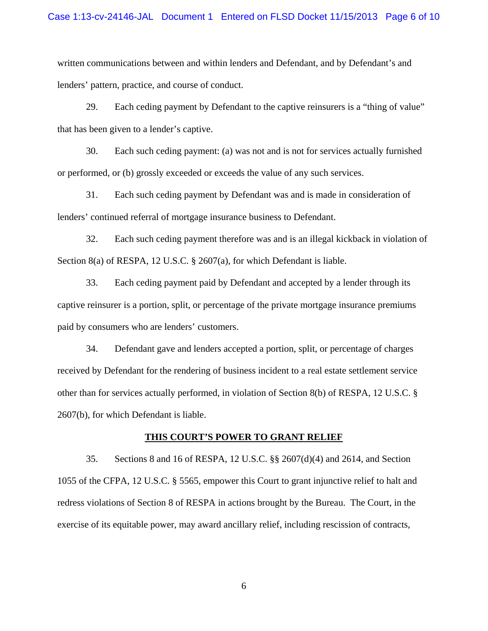written communications between and within lenders and Defendant, and by Defendant's and lenders' pattern, practice, and course of conduct.

29. Each ceding payment by Defendant to the captive reinsurers is a "thing of value" that has been given to a lender's captive.

30. Each such ceding payment: (a) was not and is not for services actually furnished or performed, or (b) grossly exceeded or exceeds the value of any such services.

31. Each such ceding payment by Defendant was and is made in consideration of lenders' continued referral of mortgage insurance business to Defendant.

32. Each such ceding payment therefore was and is an illegal kickback in violation of Section 8(a) of RESPA, 12 U.S.C. § 2607(a), for which Defendant is liable.

33. Each ceding payment paid by Defendant and accepted by a lender through its captive reinsurer is a portion, split, or percentage of the private mortgage insurance premiums paid by consumers who are lenders' customers.

34. Defendant gave and lenders accepted a portion, split, or percentage of charges received by Defendant for the rendering of business incident to a real estate settlement service other than for services actually performed, in violation of Section 8(b) of RESPA, 12 U.S.C. § 2607(b), for which Defendant is liable.

#### **THIS COURT'S POWER TO GRANT RELIEF**

35. Sections 8 and 16 of RESPA, 12 U.S.C. §§ 2607(d)(4) and 2614, and Section 1055 of the CFPA, 12 U.S.C. § 5565, empower this Court to grant injunctive relief to halt and redress violations of Section 8 of RESPA in actions brought by the Bureau. The Court, in the exercise of its equitable power, may award ancillary relief, including rescission of contracts,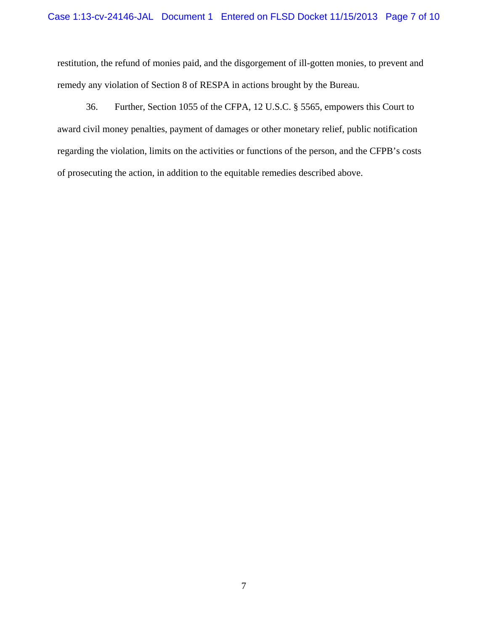restitution, the refund of monies paid, and the disgorgement of ill-gotten monies, to prevent and remedy any violation of Section 8 of RESPA in actions brought by the Bureau.

36. Further, Section 1055 of the CFPA, 12 U.S.C. § 5565, empowers this Court to award civil money penalties, payment of damages or other monetary relief, public notification regarding the violation, limits on the activities or functions of the person, and the CFPB's costs of prosecuting the action, in addition to the equitable remedies described above.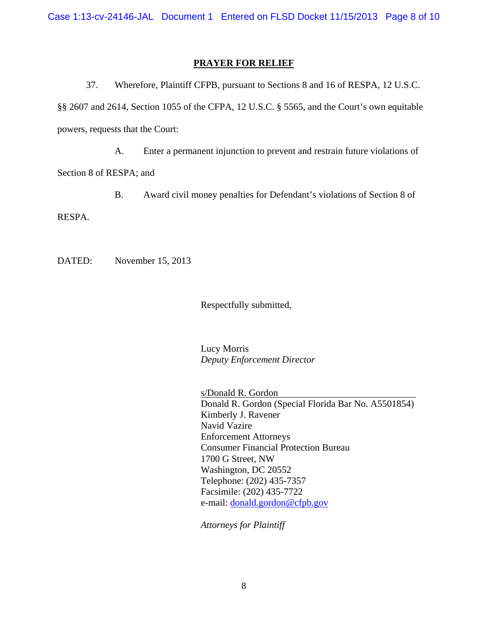Case 1:13-cv-24146-JAL Document 1 Entered on FLSD Docket 11/15/2013 Page 8 of 10

## **PRAYER FOR RELIEF**

37. Wherefore, Plaintiff CFPB, pursuant to Sections 8 and 16 of RESPA, 12 U.S.C. §§ 2607 and 2614, Section 1055 of the CFPA, 12 U.S.C. § 5565, and the Court's own equitable powers, requests that the Court:

A. Enter a permanent injunction to prevent and restrain future violations of Section 8 of RESPA; and

B. Award civil money penalties for Defendant's violations of Section 8 of

RESPA.

DATED: November 15, 2013

Respectfully submitted,

 Lucy Morris  *Deputy Enforcement Director* 

s/Donald R. Gordon Donald R. Gordon (Special Florida Bar No. A5501854) Kimberly J. Ravener Navid Vazire Enforcement Attorneys Consumer Financial Protection Bureau 1700 G Street, NW Washington, DC 20552 Telephone: (202) 435-7357 Facsimile: (202) 435-7722 e-mail: donald.gordon@cfpb.gov

*Attorneys for Plaintiff*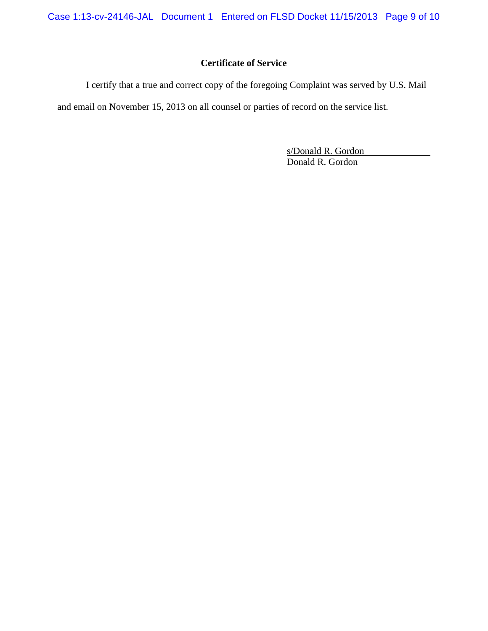Case 1:13-cv-24146-JAL Document 1 Entered on FLSD Docket 11/15/2013 Page 9 of 10

# **Certificate of Service**

I certify that a true and correct copy of the foregoing Complaint was served by U.S. Mail and email on November 15, 2013 on all counsel or parties of record on the service list.

> s/Donald R. Gordon Donald R. Gordon